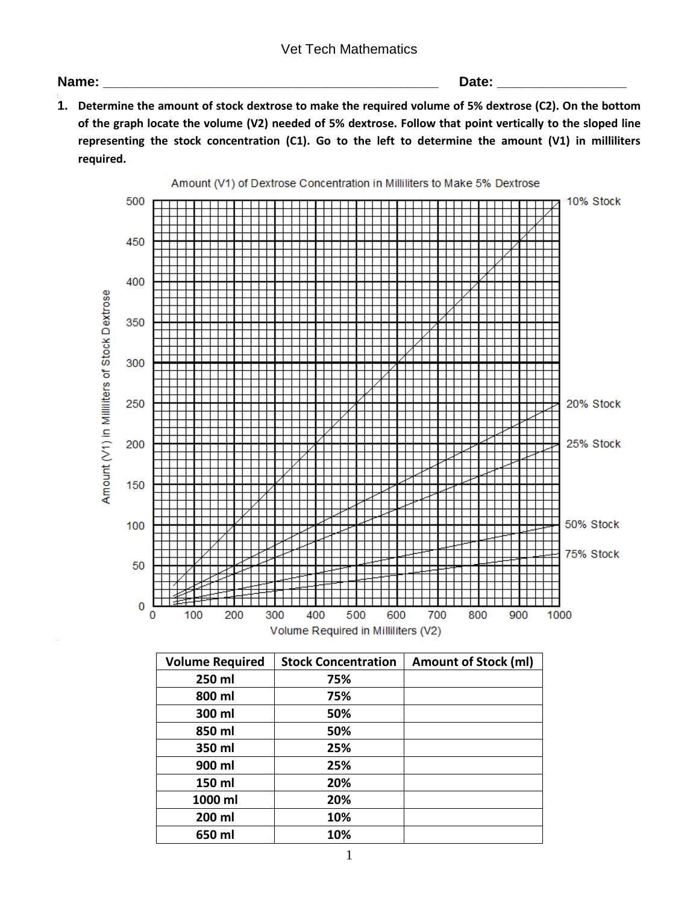## Vet Tech Mathematics

## **Name: \_\_\_\_\_\_\_\_\_\_\_\_\_\_\_\_\_\_\_\_\_\_\_\_\_\_\_\_\_\_\_\_\_\_\_\_\_\_\_\_\_\_\_\_ Date: \_\_\_\_\_\_\_\_\_\_\_\_\_\_\_\_\_**

**1. Determine the amount of stock dextrose to make the required volume of 5% dextrose (C2). On the bottom of the graph locate the volume (V2) needed of 5% dextrose. Follow that point vertically to the sloped line representing the stock concentration (C1). Go to the left to determine the amount (V1) in milliliters required.**



| <b>Volume Required</b> | <b>Stock Concentration</b> | <b>Amount of Stock (ml)</b> |
|------------------------|----------------------------|-----------------------------|
| 250 ml                 | 75%                        |                             |
| 800 ml                 | 75%                        |                             |
| 300 ml                 | 50%                        |                             |
| 850 ml                 | 50%                        |                             |
| 350 ml                 | 25%                        |                             |
| 900 ml                 | 25%                        |                             |
| 150 ml                 | 20%                        |                             |
| 1000 ml                | 20%                        |                             |
| 200 ml                 | 10%                        |                             |
| 650 ml                 | 10%                        |                             |